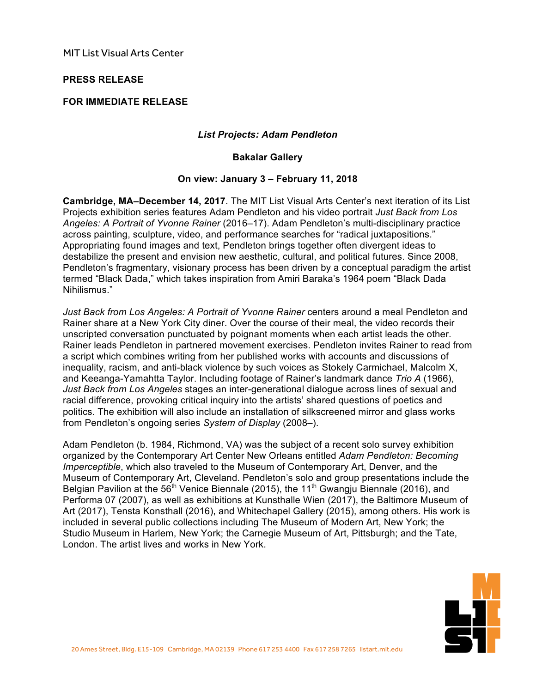MIT List Visual Arts Center

## **PRESS RELEASE**

# **FOR IMMEDIATE RELEASE**

### *List Projects: Adam Pendleton*

#### **Bakalar Gallery**

## **On view: January 3 – February 11, 2018**

**Cambridge, MA–December 14, 2017**. The MIT List Visual Arts Center's next iteration of its List Projects exhibition series features Adam Pendleton and his video portrait *Just Back from Los Angeles: A Portrait of Yvonne Rainer* (2016–17). Adam Pendleton's multi-disciplinary practice across painting, sculpture, video, and performance searches for "radical juxtapositions." Appropriating found images and text, Pendleton brings together often divergent ideas to destabilize the present and envision new aesthetic, cultural, and political futures. Since 2008, Pendleton's fragmentary, visionary process has been driven by a conceptual paradigm the artist termed "Black Dada," which takes inspiration from Amiri Baraka's 1964 poem "Black Dada Nihilismus."

*Just Back from Los Angeles: A Portrait of Yvonne Rainer* centers around a meal Pendleton and Rainer share at a New York City diner. Over the course of their meal, the video records their unscripted conversation punctuated by poignant moments when each artist leads the other. Rainer leads Pendleton in partnered movement exercises. Pendleton invites Rainer to read from a script which combines writing from her published works with accounts and discussions of inequality, racism, and anti-black violence by such voices as Stokely Carmichael, Malcolm X, and Keeanga-Yamahtta Taylor. Including footage of Rainer's landmark dance *Trio A* (1966), *Just Back from Los Angeles* stages an inter-generational dialogue across lines of sexual and racial difference, provoking critical inquiry into the artists' shared questions of poetics and politics. The exhibition will also include an installation of silkscreened mirror and glass works from Pendleton's ongoing series *System of Display* (2008–).

Adam Pendleton (b. 1984, Richmond, VA) was the subject of a recent solo survey exhibition organized by the Contemporary Art Center New Orleans entitled *Adam Pendleton: Becoming Imperceptible*, which also traveled to the Museum of Contemporary Art, Denver, and the Museum of Contemporary Art, Cleveland. Pendleton's solo and group presentations include the Belgian Pavilion at the  $56<sup>th</sup>$  Venice Biennale (2015), the 11<sup>th</sup> Gwangju Biennale (2016), and Performa 07 (2007), as well as exhibitions at Kunsthalle Wien (2017), the Baltimore Museum of Art (2017), Tensta Konsthall (2016), and Whitechapel Gallery (2015), among others. His work is included in several public collections including The Museum of Modern Art, New York; the Studio Museum in Harlem, New York; the Carnegie Museum of Art, Pittsburgh; and the Tate, London. The artist lives and works in New York.